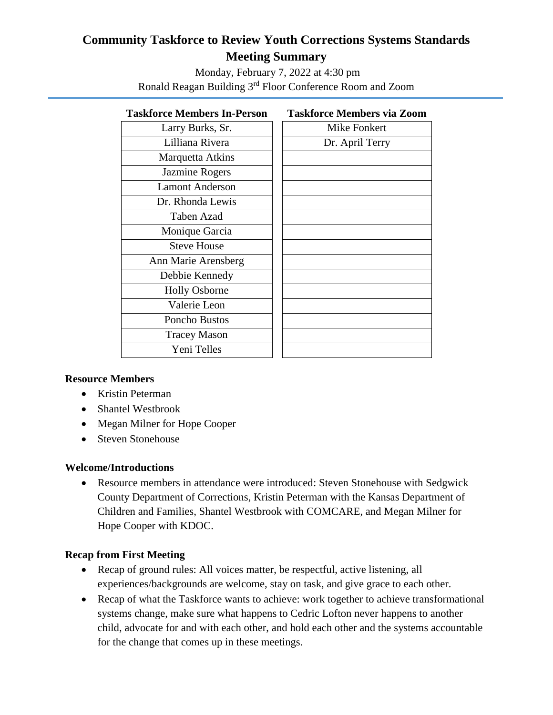# **Community Taskforce to Review Youth Corrections Systems Standards Meeting Summary**

Monday, February 7, 2022 at 4:30 pm Ronald Reagan Building 3rd Floor Conference Room and Zoom

### **Taskforce Members In-Person Taskforce Members via Zoom**

| Larry Burks, Sr.       | <b>Mike Fonkert</b> |
|------------------------|---------------------|
| Lilliana Rivera        | Dr. April Terry     |
| Marquetta Atkins       |                     |
| Jazmine Rogers         |                     |
| <b>Lamont Anderson</b> |                     |
| Dr. Rhonda Lewis       |                     |
| <b>Taben Azad</b>      |                     |
| Monique Garcia         |                     |
| <b>Steve House</b>     |                     |
| Ann Marie Arensberg    |                     |
| Debbie Kennedy         |                     |
| <b>Holly Osborne</b>   |                     |
| Valerie Leon           |                     |
| Poncho Bustos          |                     |
| <b>Tracey Mason</b>    |                     |
| Yeni Telles            |                     |
|                        |                     |

### **Resource Members**

- Kristin Peterman
- Shantel Westbrook
- Megan Milner for Hope Cooper
- Steven Stonehouse

### **Welcome/Introductions**

 Resource members in attendance were introduced: Steven Stonehouse with Sedgwick County Department of Corrections, Kristin Peterman with the Kansas Department of Children and Families, Shantel Westbrook with COMCARE, and Megan Milner for Hope Cooper with KDOC.

# **Recap from First Meeting**

- Recap of ground rules: All voices matter, be respectful, active listening, all experiences/backgrounds are welcome, stay on task, and give grace to each other.
- Recap of what the Taskforce wants to achieve: work together to achieve transformational systems change, make sure what happens to Cedric Lofton never happens to another child, advocate for and with each other, and hold each other and the systems accountable for the change that comes up in these meetings.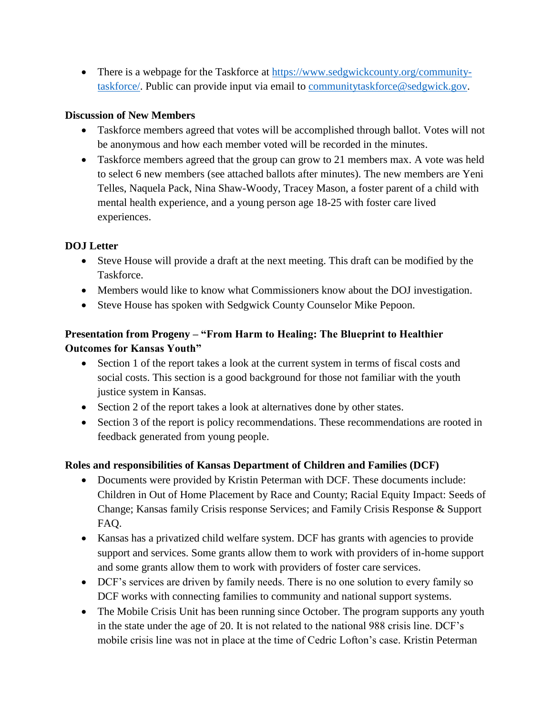• There is a webpage for the Taskforce at [https://www.sedgwickcounty.org/community](https://www.sedgwickcounty.org/community-taskforce/)[taskforce/.](https://www.sedgwickcounty.org/community-taskforce/) Public can provide input via email to [communitytaskforce@sedgwick.gov.](mailto:communitytaskforce@sedgwick.gov)

### **Discussion of New Members**

- Taskforce members agreed that votes will be accomplished through ballot. Votes will not be anonymous and how each member voted will be recorded in the minutes.
- Taskforce members agreed that the group can grow to 21 members max. A vote was held to select 6 new members (see attached ballots after minutes). The new members are Yeni Telles, Naquela Pack, Nina Shaw-Woody, Tracey Mason, a foster parent of a child with mental health experience, and a young person age 18-25 with foster care lived experiences.

### **DOJ Letter**

- Steve House will provide a draft at the next meeting. This draft can be modified by the Taskforce.
- Members would like to know what Commissioners know about the DOJ investigation.
- Steve House has spoken with Sedgwick County Counselor Mike Pepoon.

# **Presentation from Progeny – "From Harm to Healing: The Blueprint to Healthier Outcomes for Kansas Youth"**

- Section 1 of the report takes a look at the current system in terms of fiscal costs and social costs. This section is a good background for those not familiar with the youth justice system in Kansas.
- Section 2 of the report takes a look at alternatives done by other states.
- Section 3 of the report is policy recommendations. These recommendations are rooted in feedback generated from young people.

### **Roles and responsibilities of Kansas Department of Children and Families (DCF)**

- Documents were provided by Kristin Peterman with DCF. These documents include: Children in Out of Home Placement by Race and County; Racial Equity Impact: Seeds of Change; Kansas family Crisis response Services; and Family Crisis Response & Support FAQ.
- Kansas has a privatized child welfare system. DCF has grants with agencies to provide support and services. Some grants allow them to work with providers of in-home support and some grants allow them to work with providers of foster care services.
- DCF's services are driven by family needs. There is no one solution to every family so DCF works with connecting families to community and national support systems.
- The Mobile Crisis Unit has been running since October. The program supports any youth in the state under the age of 20. It is not related to the national 988 crisis line. DCF's mobile crisis line was not in place at the time of Cedric Lofton's case. Kristin Peterman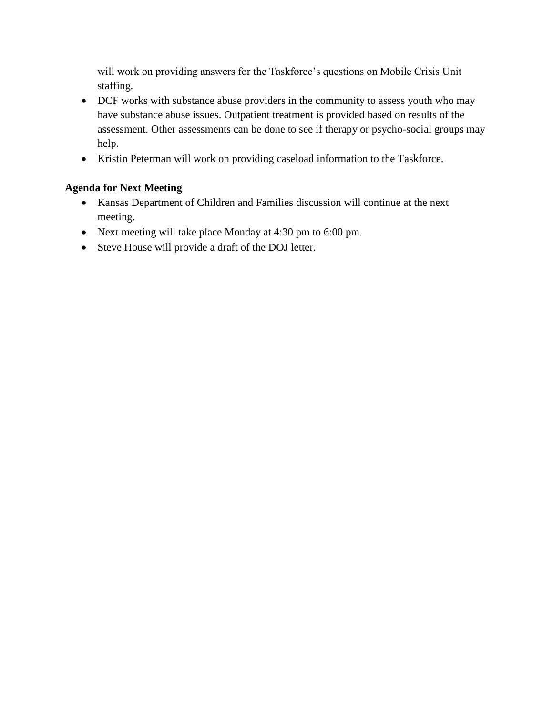will work on providing answers for the Taskforce's questions on Mobile Crisis Unit staffing.

- DCF works with substance abuse providers in the community to assess youth who may have substance abuse issues. Outpatient treatment is provided based on results of the assessment. Other assessments can be done to see if therapy or psycho-social groups may help.
- Kristin Peterman will work on providing caseload information to the Taskforce.

# **Agenda for Next Meeting**

- Kansas Department of Children and Families discussion will continue at the next meeting.
- Next meeting will take place Monday at 4:30 pm to 6:00 pm.
- Steve House will provide a draft of the DOJ letter.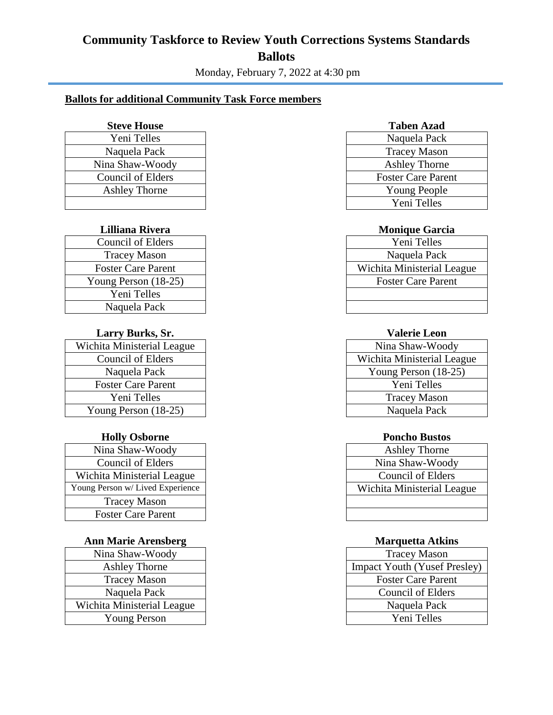# **Community Taskforce to Review Youth Corrections Systems Standards Ballots**

Monday, February 7, 2022 at 4:30 pm

## **Ballots for additional Community Task Force members**

| Yeni Telles          | Naquela Pack            |
|----------------------|-------------------------|
| Naquela Pack         | <b>Tracey Mason</b>     |
| Nina Shaw-Woody      | <b>Ashley Thorne</b>    |
| Council of Elders    | <b>Foster Care Pare</b> |
| <b>Ashley Thorne</b> | Young People            |
|                      | Yeni Telles             |

| Council of Elders         | Yeni Telles               |
|---------------------------|---------------------------|
| <b>Tracey Mason</b>       | Naquela Pack              |
| <b>Foster Care Parent</b> | Wichita Ministerial Lea   |
| Young Person (18-25)      | <b>Foster Care Parent</b> |
| Yeni Telles               |                           |
| Naquela Pack              |                           |

### **Larry Burks, Sr. Valerie Leon**

| Wichita Ministerial League | Nina Shaw-Woody         |
|----------------------------|-------------------------|
| <b>Council of Elders</b>   | Wichita Ministerial Lea |
| Naquela Pack               | Young Person (18-25     |
| <b>Foster Care Parent</b>  | Yeni Telles             |
| Yeni Telles                | <b>Tracey Mason</b>     |
| Young Person $(18-25)$     | Naquela Pack            |

| Nina Shaw-Woody                  | <b>Ashley Thorne</b>       |
|----------------------------------|----------------------------|
| <b>Council of Elders</b>         | Nina Shaw-Woody            |
| Wichita Ministerial League       | Council of Elders          |
| Young Person w/ Lived Experience | Wichita Ministerial League |
| <b>Tracey Mason</b>              |                            |
| <b>Foster Care Parent</b>        |                            |

### **Ann Marie Arensberg <b>Marquetta Atkins**

| Nina Shaw-Woody            | <b>Tracey Mason</b>     |
|----------------------------|-------------------------|
| <b>Ashley Thorne</b>       | Impact Youth (Yusef)    |
| <b>Tracey Mason</b>        | <b>Foster Care Pare</b> |
| Naquela Pack               | Council of Elde         |
| Wichita Ministerial League | Naquela Pack            |
| <b>Young Person</b>        | Yeni Telles             |

#### **Steve House Taben Azad**

| Yeni Telles          | Naquela Pack              |
|----------------------|---------------------------|
| Naquela Pack         | <b>Tracey Mason</b>       |
| Vina Shaw-Woody      | <b>Ashley Thorne</b>      |
| Council of Elders    | <b>Foster Care Parent</b> |
| <b>Ashley Thorne</b> | <b>Young People</b>       |
|                      | Yeni Telles               |

### **Lilliana Rivera Monique Garcia**

| Council of Elders         | Yeni Telles                |
|---------------------------|----------------------------|
| <b>Tracey Mason</b>       | Naquela Pack               |
| <b>Foster Care Parent</b> | Wichita Ministerial League |
| oung Person (18-25)       | <b>Foster Care Parent</b>  |
| Yeni Telles               |                            |
| Naquela Pack              |                            |

| nita Ministerial League | Nina Shaw-Woody            |
|-------------------------|----------------------------|
| Council of Elders       | Wichita Ministerial League |
| Naquela Pack            | Young Person $(18-25)$     |
| Foster Care Parent      | Yeni Telles                |
| Yeni Telles             | <b>Tracey Mason</b>        |
| $p$ pung Person (18-25) | Naquela Pack               |

#### **Holly Osborne Poncho Bustos**

| Vina Shaw-Woody               | <b>Ashley Thorne</b>       |
|-------------------------------|----------------------------|
| Council of Elders             | Nina Shaw-Woody            |
| iita Ministerial League       | Council of Elders          |
| Person w/ Lived Experience    | Wichita Ministerial League |
| <b>Tracey Mason</b>           |                            |
| $\sqrt{2}$ Goster Care Parent |                            |

| ina Shaw-Woody        | <b>Tracey Mason</b>                 |
|-----------------------|-------------------------------------|
| <b>Ashley Thorne</b>  | <b>Impact Youth (Yusef Presley)</b> |
| <b>Tracey Mason</b>   | <b>Foster Care Parent</b>           |
| Naquela Pack          | Council of Elders                   |
| ta Ministerial League | Naquela Pack                        |
| <b>Young Person</b>   | Yeni Telles                         |